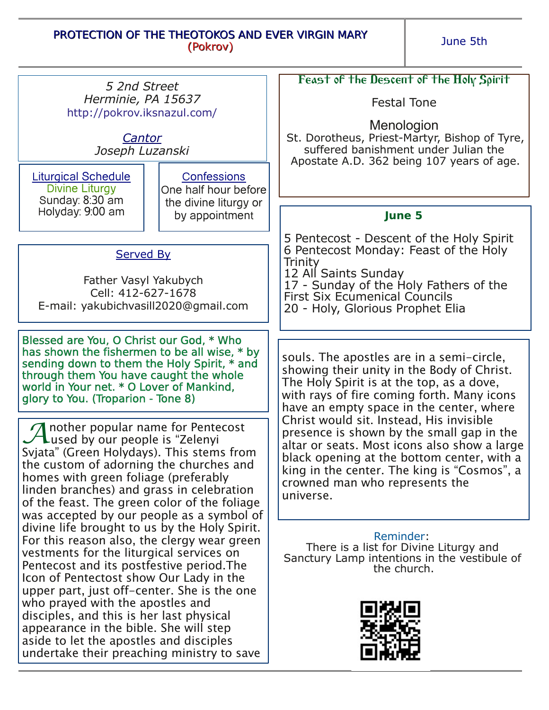## PROTECTION OF THE THEOTOKOS AND EVER VIRGIN MARY (Pokrov)

June 5th

| 5 2nd Street                                                                                                                                                                                                                                                                                                                                                                                                                                                                                                                                                                                                                                                                                                                                                                                                                                                      |                                                                                | Feast of the Descent of the Holy Spirit                                                                                                                                                                                                                                                                                                                                                                                                                                                                             |
|-------------------------------------------------------------------------------------------------------------------------------------------------------------------------------------------------------------------------------------------------------------------------------------------------------------------------------------------------------------------------------------------------------------------------------------------------------------------------------------------------------------------------------------------------------------------------------------------------------------------------------------------------------------------------------------------------------------------------------------------------------------------------------------------------------------------------------------------------------------------|--------------------------------------------------------------------------------|---------------------------------------------------------------------------------------------------------------------------------------------------------------------------------------------------------------------------------------------------------------------------------------------------------------------------------------------------------------------------------------------------------------------------------------------------------------------------------------------------------------------|
| Herminie, PA 15637<br>http://pokrov.iksnazul.com/                                                                                                                                                                                                                                                                                                                                                                                                                                                                                                                                                                                                                                                                                                                                                                                                                 |                                                                                | <b>Festal Tone</b>                                                                                                                                                                                                                                                                                                                                                                                                                                                                                                  |
| Cantor<br>Joseph Luzanski                                                                                                                                                                                                                                                                                                                                                                                                                                                                                                                                                                                                                                                                                                                                                                                                                                         |                                                                                | Menologion<br>St. Dorotheus, Priest-Martyr, Bishop of Tyre,<br>suffered banishment under Julian the<br>Apostate A.D. 362 being 107 years of age.                                                                                                                                                                                                                                                                                                                                                                    |
| <b>Liturgical Schedule</b><br>Divine Liturgy<br>Sunday: 8:30 am<br>Holyday: 9:00 am                                                                                                                                                                                                                                                                                                                                                                                                                                                                                                                                                                                                                                                                                                                                                                               | Confessions<br>One half hour before<br>the divine liturgy or<br>by appointment |                                                                                                                                                                                                                                                                                                                                                                                                                                                                                                                     |
|                                                                                                                                                                                                                                                                                                                                                                                                                                                                                                                                                                                                                                                                                                                                                                                                                                                                   |                                                                                | June 5                                                                                                                                                                                                                                                                                                                                                                                                                                                                                                              |
|                                                                                                                                                                                                                                                                                                                                                                                                                                                                                                                                                                                                                                                                                                                                                                                                                                                                   |                                                                                | 5 Pentecost - Descent of the Holy Spirit                                                                                                                                                                                                                                                                                                                                                                                                                                                                            |
| <b>Served By</b>                                                                                                                                                                                                                                                                                                                                                                                                                                                                                                                                                                                                                                                                                                                                                                                                                                                  |                                                                                | 6 Pentecost Monday: Feast of the Holy<br>Trinity                                                                                                                                                                                                                                                                                                                                                                                                                                                                    |
| Father Vasyl Yakubych<br>Cell: 412-627-1678                                                                                                                                                                                                                                                                                                                                                                                                                                                                                                                                                                                                                                                                                                                                                                                                                       |                                                                                | 12 All Saints Sunday<br>17 - Sunday of the Holy Fathers of the                                                                                                                                                                                                                                                                                                                                                                                                                                                      |
| E-mail: yakubichvasill2020@qmail.com                                                                                                                                                                                                                                                                                                                                                                                                                                                                                                                                                                                                                                                                                                                                                                                                                              |                                                                                | <b>First Six Ecumenical Councils</b><br>20 - Holy, Glorious Prophet Elia                                                                                                                                                                                                                                                                                                                                                                                                                                            |
|                                                                                                                                                                                                                                                                                                                                                                                                                                                                                                                                                                                                                                                                                                                                                                                                                                                                   |                                                                                |                                                                                                                                                                                                                                                                                                                                                                                                                                                                                                                     |
| Blessed are You, O Christ our God, * Who<br>has shown the fishermen to be all wise, * by<br>sending down to them the Holy Spirit, * and<br>through them You have caught the whole<br>world in Your net. * O Lover of Mankind,<br>glory to You. (Troparion - Tone 8)                                                                                                                                                                                                                                                                                                                                                                                                                                                                                                                                                                                               |                                                                                | souls. The apostles are in a semi-circle,<br>showing their unity in the Body of Christ.<br>The Holy Spirit is at the top, as a dove,<br>with rays of fire coming forth. Many icons<br>have an empty space in the center, where<br>Christ would sit. Instead, His invisible<br>presence is shown by the small gap in the<br>altar or seats. Most icons also show a large<br>black opening at the bottom center, with a<br>king in the center. The king is "Cosmos", a<br>crowned man who represents the<br>universe. |
| nother popular name for Pentecost<br>$\mathcal{L}$ used by our people is "Zelenyi<br>Svjata" (Green Holydays). This stems from<br>the custom of adorning the churches and<br>homes with green foliage (preferably<br>linden branches) and grass in celebration<br>of the feast. The green color of the foliage<br>was accepted by our people as a symbol of<br>divine life brought to us by the Holy Spirit.<br>For this reason also, the clergy wear green<br>vestments for the liturgical services on<br>Pentecost and its postfestive period. The<br>Icon of Pentectost show Our Lady in the<br>upper part, just off-center. She is the one<br>who prayed with the apostles and<br>disciples, and this is her last physical<br>appearance in the bible. She will step<br>aside to let the apostles and disciples<br>undertake their preaching ministry to save |                                                                                |                                                                                                                                                                                                                                                                                                                                                                                                                                                                                                                     |
|                                                                                                                                                                                                                                                                                                                                                                                                                                                                                                                                                                                                                                                                                                                                                                                                                                                                   |                                                                                | Reminder:<br>There is a list for Divine Liturgy and<br>Sanctury Lamp intentions in the vestibule of<br>the church.                                                                                                                                                                                                                                                                                                                                                                                                  |
|                                                                                                                                                                                                                                                                                                                                                                                                                                                                                                                                                                                                                                                                                                                                                                                                                                                                   |                                                                                |                                                                                                                                                                                                                                                                                                                                                                                                                                                                                                                     |